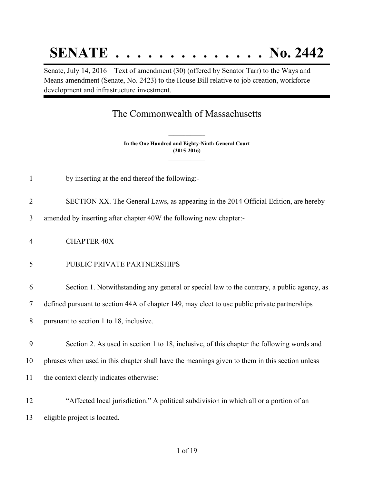# **SENATE . . . . . . . . . . . . . . No. 2442**

Senate, July 14, 2016 – Text of amendment (30) (offered by Senator Tarr) to the Ways and Means amendment (Senate, No. 2423) to the House Bill relative to job creation, workforce development and infrastructure investment.

# The Commonwealth of Massachusetts

**In the One Hundred and Eighty-Ninth General Court (2015-2016) \_\_\_\_\_\_\_\_\_\_\_\_\_\_\_**

**\_\_\_\_\_\_\_\_\_\_\_\_\_\_\_**

- by inserting at the end thereof the following:-
- SECTION XX. The General Laws, as appearing in the 2014 Official Edition, are hereby

amended by inserting after chapter 40W the following new chapter:-

CHAPTER 40X

### PUBLIC PRIVATE PARTNERSHIPS

Section 1. Notwithstanding any general or special law to the contrary, a public agency, as

defined pursuant to section 44A of chapter 149, may elect to use public private partnerships

pursuant to section 1 to 18, inclusive.

 Section 2. As used in section 1 to 18, inclusive, of this chapter the following words and phrases when used in this chapter shall have the meanings given to them in this section unless the context clearly indicates otherwise:

 "Affected local jurisdiction." A political subdivision in which all or a portion of an eligible project is located.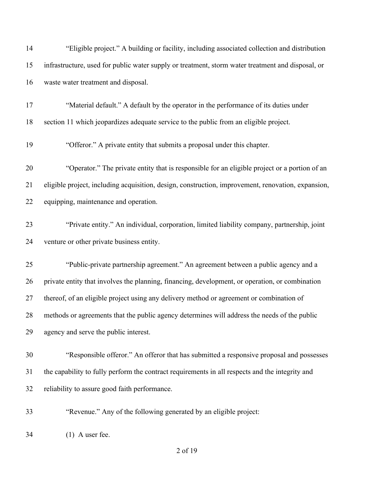| 14 | "Eligible project." A building or facility, including associated collection and distribution       |
|----|----------------------------------------------------------------------------------------------------|
| 15 | infrastructure, used for public water supply or treatment, storm water treatment and disposal, or  |
| 16 | waste water treatment and disposal.                                                                |
| 17 | "Material default." A default by the operator in the performance of its duties under               |
| 18 | section 11 which jeopardizes adequate service to the public from an eligible project.              |
| 19 | "Offeror." A private entity that submits a proposal under this chapter.                            |
| 20 | "Operator." The private entity that is responsible for an eligible project or a portion of an      |
| 21 | eligible project, including acquisition, design, construction, improvement, renovation, expansion, |
| 22 | equipping, maintenance and operation.                                                              |
| 23 | "Private entity." An individual, corporation, limited liability company, partnership, joint        |
| 24 | venture or other private business entity.                                                          |
| 25 | "Public-private partnership agreement." An agreement between a public agency and a                 |
| 26 | private entity that involves the planning, financing, development, or operation, or combination    |
| 27 | thereof, of an eligible project using any delivery method or agreement or combination of           |
| 28 | methods or agreements that the public agency determines will address the needs of the public       |
| 29 | agency and serve the public interest.                                                              |
| 30 | "Responsible offeror." An offeror that has submitted a responsive proposal and possesses           |
| 31 | the capability to fully perform the contract requirements in all respects and the integrity and    |
| 32 | reliability to assure good faith performance.                                                      |
| 33 | "Revenue." Any of the following generated by an eligible project:                                  |
| 34 | $(1)$ A user fee.                                                                                  |
|    | 2 of 19                                                                                            |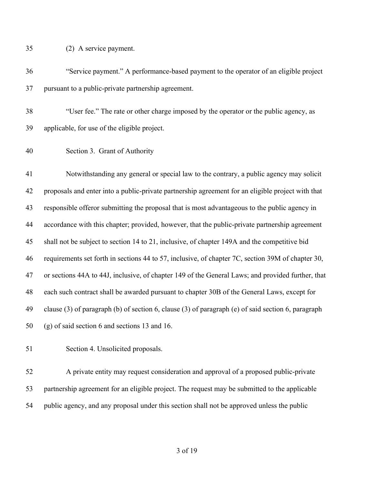(2) A service payment.

- "Service payment." A performance-based payment to the operator of an eligible project pursuant to a public-private partnership agreement.
- "User fee." The rate or other charge imposed by the operator or the public agency, as applicable, for use of the eligible project.
- Section 3. Grant of Authority

 Notwithstanding any general or special law to the contrary, a public agency may solicit proposals and enter into a public-private partnership agreement for an eligible project with that responsible offeror submitting the proposal that is most advantageous to the public agency in accordance with this chapter; provided, however, that the public-private partnership agreement shall not be subject to section 14 to 21, inclusive, of chapter 149A and the competitive bid requirements set forth in sections 44 to 57, inclusive, of chapter 7C, section 39M of chapter 30, or sections 44A to 44J, inclusive, of chapter 149 of the General Laws; and provided further, that each such contract shall be awarded pursuant to chapter 30B of the General Laws, except for clause (3) of paragraph (b) of section 6, clause (3) of paragraph (e) of said section 6, paragraph (g) of said section 6 and sections 13 and 16.

Section 4. Unsolicited proposals.

 A private entity may request consideration and approval of a proposed public-private partnership agreement for an eligible project. The request may be submitted to the applicable public agency, and any proposal under this section shall not be approved unless the public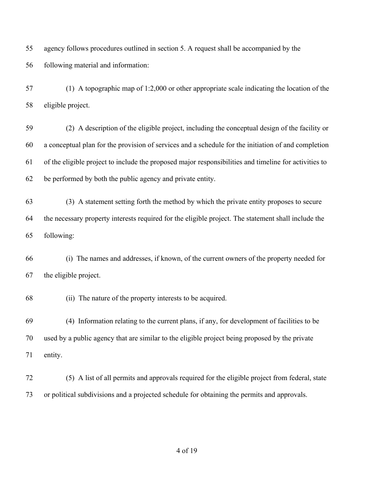agency follows procedures outlined in section 5. A request shall be accompanied by the following material and information:

 (1) A topographic map of 1:2,000 or other appropriate scale indicating the location of the eligible project.

 (2) A description of the eligible project, including the conceptual design of the facility or a conceptual plan for the provision of services and a schedule for the initiation of and completion of the eligible project to include the proposed major responsibilities and timeline for activities to be performed by both the public agency and private entity.

 (3) A statement setting forth the method by which the private entity proposes to secure the necessary property interests required for the eligible project. The statement shall include the following:

 (i) The names and addresses, if known, of the current owners of the property needed for the eligible project.

(ii) The nature of the property interests to be acquired.

 (4) Information relating to the current plans, if any, for development of facilities to be used by a public agency that are similar to the eligible project being proposed by the private entity.

 (5) A list of all permits and approvals required for the eligible project from federal, state or political subdivisions and a projected schedule for obtaining the permits and approvals.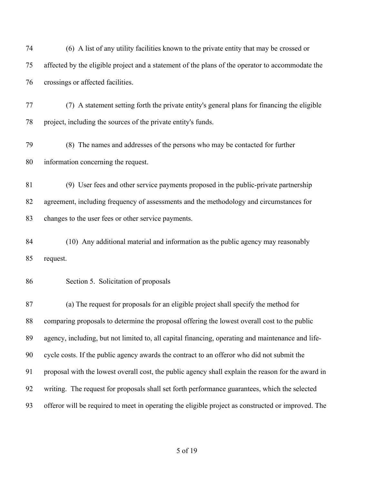(6) A list of any utility facilities known to the private entity that may be crossed or affected by the eligible project and a statement of the plans of the operator to accommodate the crossings or affected facilities.

 (7) A statement setting forth the private entity's general plans for financing the eligible project, including the sources of the private entity's funds.

 (8) The names and addresses of the persons who may be contacted for further information concerning the request.

 (9) User fees and other service payments proposed in the public-private partnership agreement, including frequency of assessments and the methodology and circumstances for changes to the user fees or other service payments.

 (10) Any additional material and information as the public agency may reasonably request.

#### Section 5. Solicitation of proposals

 (a) The request for proposals for an eligible project shall specify the method for comparing proposals to determine the proposal offering the lowest overall cost to the public agency, including, but not limited to, all capital financing, operating and maintenance and life- cycle costs. If the public agency awards the contract to an offeror who did not submit the proposal with the lowest overall cost, the public agency shall explain the reason for the award in writing. The request for proposals shall set forth performance guarantees, which the selected offeror will be required to meet in operating the eligible project as constructed or improved. The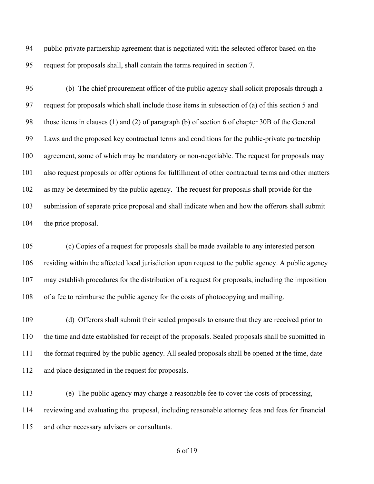public-private partnership agreement that is negotiated with the selected offeror based on the request for proposals shall, shall contain the terms required in section 7.

 (b) The chief procurement officer of the public agency shall solicit proposals through a request for proposals which shall include those items in subsection of (a) of this section 5 and those items in clauses (1) and (2) of paragraph (b) of section 6 of chapter 30B of the General Laws and the proposed key contractual terms and conditions for the public-private partnership agreement, some of which may be mandatory or non-negotiable. The request for proposals may also request proposals or offer options for fulfillment of other contractual terms and other matters as may be determined by the public agency. The request for proposals shall provide for the submission of separate price proposal and shall indicate when and how the offerors shall submit 104 the price proposal.

 (c) Copies of a request for proposals shall be made available to any interested person residing within the affected local jurisdiction upon request to the public agency. A public agency may establish procedures for the distribution of a request for proposals, including the imposition of a fee to reimburse the public agency for the costs of photocopying and mailing.

 (d) Offerors shall submit their sealed proposals to ensure that they are received prior to the time and date established for receipt of the proposals. Sealed proposals shall be submitted in the format required by the public agency. All sealed proposals shall be opened at the time, date and place designated in the request for proposals.

 (e) The public agency may charge a reasonable fee to cover the costs of processing, reviewing and evaluating the proposal, including reasonable attorney fees and fees for financial and other necessary advisers or consultants.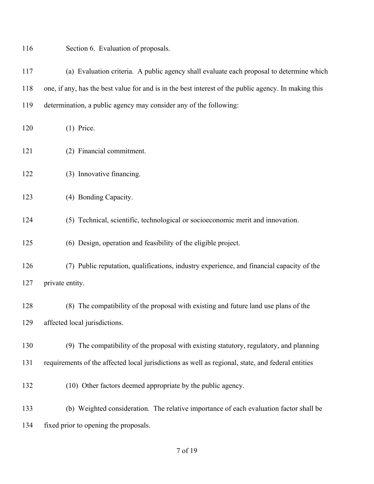| 116 | Section 6. Evaluation of proposals.                                                                  |
|-----|------------------------------------------------------------------------------------------------------|
| 117 | (a) Evaluation criteria. A public agency shall evaluate each proposal to determine which             |
| 118 | one, if any, has the best value for and is in the best interest of the public agency. In making this |
| 119 | determination, a public agency may consider any of the following:                                    |
| 120 | $(1)$ Price.                                                                                         |
| 121 | (2) Financial commitment.                                                                            |
| 122 | (3) Innovative financing.                                                                            |
| 123 | (4) Bonding Capacity.                                                                                |
| 124 | (5) Technical, scientific, technological or socioeconomic merit and innovation.                      |
| 125 | (6) Design, operation and feasibility of the eligible project.                                       |
| 126 | (7) Public reputation, qualifications, industry experience, and financial capacity of the            |
| 127 | private entity.                                                                                      |
| 128 | (8) The compatibility of the proposal with existing and future land use plans of the                 |
| 129 | affected local jurisdictions.                                                                        |
| 130 | (9) The compatibility of the proposal with existing statutory, regulatory, and planning              |
| 131 | requirements of the affected local jurisdictions as well as regional, state, and federal entities    |
| 132 | (10) Other factors deemed appropriate by the public agency.                                          |
| 133 | (b) Weighted consideration. The relative importance of each evaluation factor shall be               |
| 134 | fixed prior to opening the proposals.                                                                |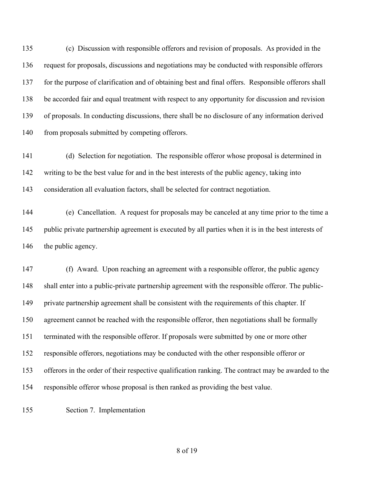(c) Discussion with responsible offerors and revision of proposals. As provided in the request for proposals, discussions and negotiations may be conducted with responsible offerors for the purpose of clarification and of obtaining best and final offers. Responsible offerors shall be accorded fair and equal treatment with respect to any opportunity for discussion and revision of proposals. In conducting discussions, there shall be no disclosure of any information derived 140 from proposals submitted by competing offerors.

 (d) Selection for negotiation. The responsible offeror whose proposal is determined in writing to be the best value for and in the best interests of the public agency, taking into consideration all evaluation factors, shall be selected for contract negotiation.

 (e) Cancellation. A request for proposals may be canceled at any time prior to the time a public private partnership agreement is executed by all parties when it is in the best interests of 146 the public agency.

 (f) Award. Upon reaching an agreement with a responsible offeror, the public agency shall enter into a public-private partnership agreement with the responsible offeror. The public- private partnership agreement shall be consistent with the requirements of this chapter. If agreement cannot be reached with the responsible offeror, then negotiations shall be formally terminated with the responsible offeror. If proposals were submitted by one or more other responsible offerors, negotiations may be conducted with the other responsible offeror or offerors in the order of their respective qualification ranking. The contract may be awarded to the responsible offeror whose proposal is then ranked as providing the best value.

Section 7. Implementation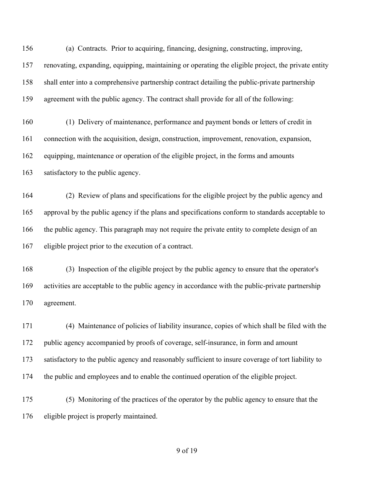(a) Contracts. Prior to acquiring, financing, designing, constructing, improving, renovating, expanding, equipping, maintaining or operating the eligible project, the private entity shall enter into a comprehensive partnership contract detailing the public-private partnership agreement with the public agency. The contract shall provide for all of the following:

 (1) Delivery of maintenance, performance and payment bonds or letters of credit in connection with the acquisition, design, construction, improvement, renovation, expansion, equipping, maintenance or operation of the eligible project, in the forms and amounts satisfactory to the public agency.

 (2) Review of plans and specifications for the eligible project by the public agency and approval by the public agency if the plans and specifications conform to standards acceptable to the public agency. This paragraph may not require the private entity to complete design of an eligible project prior to the execution of a contract.

 (3) Inspection of the eligible project by the public agency to ensure that the operator's activities are acceptable to the public agency in accordance with the public-private partnership agreement.

 (4) Maintenance of policies of liability insurance, copies of which shall be filed with the public agency accompanied by proofs of coverage, self-insurance, in form and amount satisfactory to the public agency and reasonably sufficient to insure coverage of tort liability to the public and employees and to enable the continued operation of the eligible project.

 (5) Monitoring of the practices of the operator by the public agency to ensure that the eligible project is properly maintained.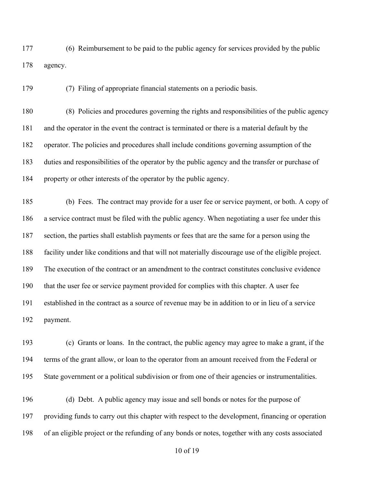(6) Reimbursement to be paid to the public agency for services provided by the public agency.

(7) Filing of appropriate financial statements on a periodic basis.

 (8) Policies and procedures governing the rights and responsibilities of the public agency and the operator in the event the contract is terminated or there is a material default by the operator. The policies and procedures shall include conditions governing assumption of the duties and responsibilities of the operator by the public agency and the transfer or purchase of property or other interests of the operator by the public agency.

 (b) Fees. The contract may provide for a user fee or service payment, or both. A copy of a service contract must be filed with the public agency. When negotiating a user fee under this section, the parties shall establish payments or fees that are the same for a person using the facility under like conditions and that will not materially discourage use of the eligible project. The execution of the contract or an amendment to the contract constitutes conclusive evidence that the user fee or service payment provided for complies with this chapter. A user fee established in the contract as a source of revenue may be in addition to or in lieu of a service payment.

 (c) Grants or loans. In the contract, the public agency may agree to make a grant, if the terms of the grant allow, or loan to the operator from an amount received from the Federal or State government or a political subdivision or from one of their agencies or instrumentalities.

 (d) Debt. A public agency may issue and sell bonds or notes for the purpose of providing funds to carry out this chapter with respect to the development, financing or operation of an eligible project or the refunding of any bonds or notes, together with any costs associated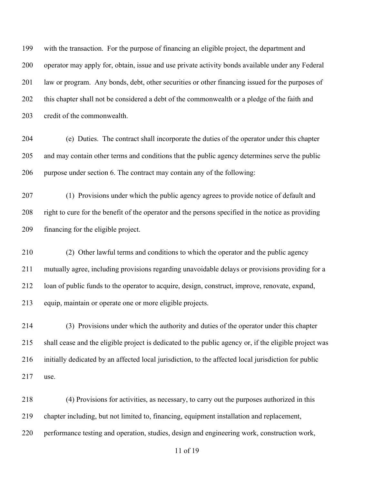with the transaction. For the purpose of financing an eligible project, the department and operator may apply for, obtain, issue and use private activity bonds available under any Federal law or program. Any bonds, debt, other securities or other financing issued for the purposes of this chapter shall not be considered a debt of the commonwealth or a pledge of the faith and credit of the commonwealth.

 (e) Duties. The contract shall incorporate the duties of the operator under this chapter and may contain other terms and conditions that the public agency determines serve the public purpose under section 6. The contract may contain any of the following:

 (1) Provisions under which the public agency agrees to provide notice of default and right to cure for the benefit of the operator and the persons specified in the notice as providing financing for the eligible project.

 (2) Other lawful terms and conditions to which the operator and the public agency mutually agree, including provisions regarding unavoidable delays or provisions providing for a loan of public funds to the operator to acquire, design, construct, improve, renovate, expand, equip, maintain or operate one or more eligible projects.

 (3) Provisions under which the authority and duties of the operator under this chapter shall cease and the eligible project is dedicated to the public agency or, if the eligible project was initially dedicated by an affected local jurisdiction, to the affected local jurisdiction for public use.

 (4) Provisions for activities, as necessary, to carry out the purposes authorized in this chapter including, but not limited to, financing, equipment installation and replacement, performance testing and operation, studies, design and engineering work, construction work,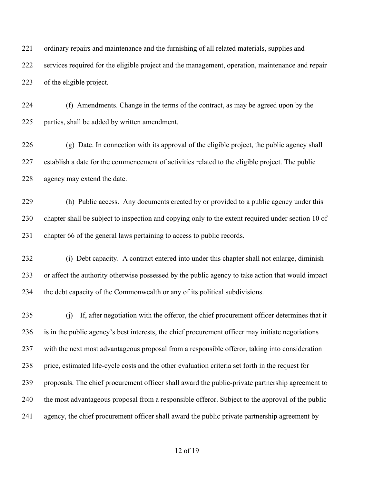ordinary repairs and maintenance and the furnishing of all related materials, supplies and services required for the eligible project and the management, operation, maintenance and repair of the eligible project.

 (f) Amendments. Change in the terms of the contract, as may be agreed upon by the parties, shall be added by written amendment.

 (g) Date. In connection with its approval of the eligible project, the public agency shall establish a date for the commencement of activities related to the eligible project. The public agency may extend the date.

 (h) Public access. Any documents created by or provided to a public agency under this chapter shall be subject to inspection and copying only to the extent required under section 10 of chapter 66 of the general laws pertaining to access to public records.

 (i) Debt capacity. A contract entered into under this chapter shall not enlarge, diminish or affect the authority otherwise possessed by the public agency to take action that would impact the debt capacity of the Commonwealth or any of its political subdivisions.

 (j) If, after negotiation with the offeror, the chief procurement officer determines that it is in the public agency's best interests, the chief procurement officer may initiate negotiations with the next most advantageous proposal from a responsible offeror, taking into consideration price, estimated life-cycle costs and the other evaluation criteria set forth in the request for proposals. The chief procurement officer shall award the public-private partnership agreement to the most advantageous proposal from a responsible offeror. Subject to the approval of the public agency, the chief procurement officer shall award the public private partnership agreement by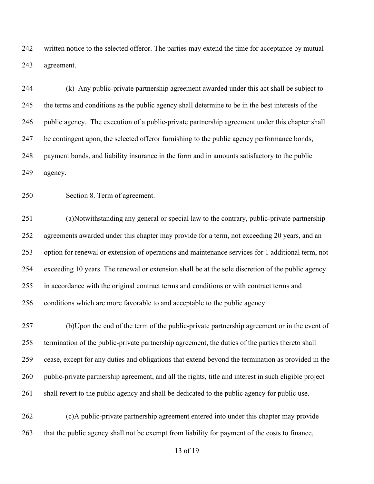written notice to the selected offeror. The parties may extend the time for acceptance by mutual agreement.

 (k) Any public-private partnership agreement awarded under this act shall be subject to the terms and conditions as the public agency shall determine to be in the best interests of the public agency. The execution of a public-private partnership agreement under this chapter shall be contingent upon, the selected offeror furnishing to the public agency performance bonds, payment bonds, and liability insurance in the form and in amounts satisfactory to the public agency.

Section 8. Term of agreement.

 (a)Notwithstanding any general or special law to the contrary, public-private partnership agreements awarded under this chapter may provide for a term, not exceeding 20 years, and an option for renewal or extension of operations and maintenance services for 1 additional term, not exceeding 10 years. The renewal or extension shall be at the sole discretion of the public agency in accordance with the original contract terms and conditions or with contract terms and conditions which are more favorable to and acceptable to the public agency.

 (b)Upon the end of the term of the public-private partnership agreement or in the event of termination of the public-private partnership agreement, the duties of the parties thereto shall cease, except for any duties and obligations that extend beyond the termination as provided in the public-private partnership agreement, and all the rights, title and interest in such eligible project shall revert to the public agency and shall be dedicated to the public agency for public use.

 (c)A public-private partnership agreement entered into under this chapter may provide that the public agency shall not be exempt from liability for payment of the costs to finance,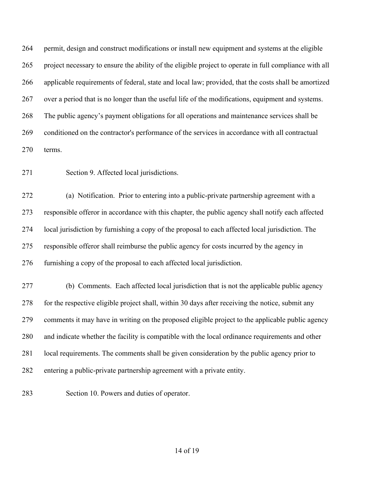permit, design and construct modifications or install new equipment and systems at the eligible project necessary to ensure the ability of the eligible project to operate in full compliance with all applicable requirements of federal, state and local law; provided, that the costs shall be amortized over a period that is no longer than the useful life of the modifications, equipment and systems. The public agency's payment obligations for all operations and maintenance services shall be conditioned on the contractor's performance of the services in accordance with all contractual terms.

Section 9. Affected local jurisdictions.

 (a) Notification. Prior to entering into a public-private partnership agreement with a responsible offeror in accordance with this chapter, the public agency shall notify each affected local jurisdiction by furnishing a copy of the proposal to each affected local jurisdiction. The responsible offeror shall reimburse the public agency for costs incurred by the agency in furnishing a copy of the proposal to each affected local jurisdiction.

 (b) Comments. Each affected local jurisdiction that is not the applicable public agency for the respective eligible project shall, within 30 days after receiving the notice, submit any comments it may have in writing on the proposed eligible project to the applicable public agency and indicate whether the facility is compatible with the local ordinance requirements and other local requirements. The comments shall be given consideration by the public agency prior to entering a public-private partnership agreement with a private entity.

Section 10. Powers and duties of operator.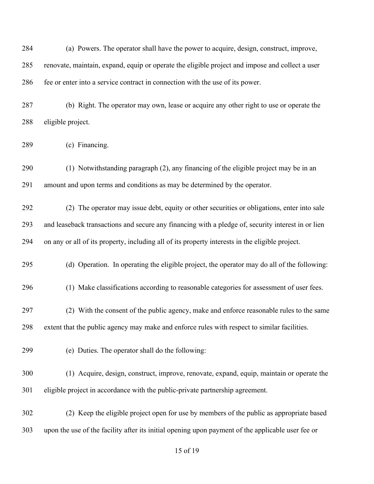| 284 | (a) Powers. The operator shall have the power to acquire, design, construct, improve,              |
|-----|----------------------------------------------------------------------------------------------------|
| 285 | renovate, maintain, expand, equip or operate the eligible project and impose and collect a user    |
| 286 | fee or enter into a service contract in connection with the use of its power.                      |
| 287 | (b) Right. The operator may own, lease or acquire any other right to use or operate the            |
| 288 | eligible project.                                                                                  |
| 289 | (c) Financing.                                                                                     |
| 290 | (1) Notwithstanding paragraph (2), any financing of the eligible project may be in an              |
| 291 | amount and upon terms and conditions as may be determined by the operator.                         |
| 292 | (2) The operator may issue debt, equity or other securities or obligations, enter into sale        |
| 293 | and leaseback transactions and secure any financing with a pledge of, security interest in or lien |
| 294 | on any or all of its property, including all of its property interests in the eligible project.    |
| 295 | (d) Operation. In operating the eligible project, the operator may do all of the following:        |
| 296 | (1) Make classifications according to reasonable categories for assessment of user fees.           |
| 297 | (2) With the consent of the public agency, make and enforce reasonable rules to the same           |
| 298 | extent that the public agency may make and enforce rules with respect to similar facilities.       |
| 299 | (e) Duties. The operator shall do the following:                                                   |
| 300 | (1) Acquire, design, construct, improve, renovate, expand, equip, maintain or operate the          |
| 301 | eligible project in accordance with the public-private partnership agreement.                      |
| 302 | (2) Keep the eligible project open for use by members of the public as appropriate based           |
| 303 | upon the use of the facility after its initial opening upon payment of the applicable user fee or  |
|     |                                                                                                    |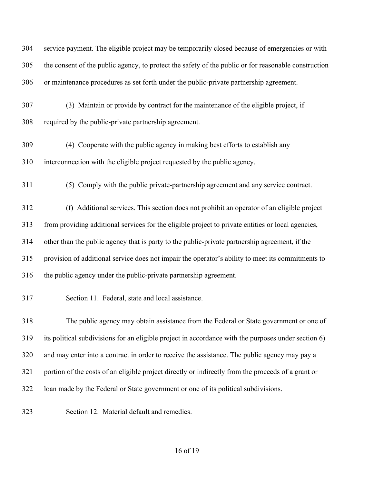| 304 | service payment. The eligible project may be temporarily closed because of emergencies or with       |
|-----|------------------------------------------------------------------------------------------------------|
| 305 | the consent of the public agency, to protect the safety of the public or for reasonable construction |
| 306 | or maintenance procedures as set forth under the public-private partnership agreement.               |
| 307 | (3) Maintain or provide by contract for the maintenance of the eligible project, if                  |
| 308 | required by the public-private partnership agreement.                                                |
| 309 | (4) Cooperate with the public agency in making best efforts to establish any                         |
| 310 | interconnection with the eligible project requested by the public agency.                            |
| 311 | (5) Comply with the public private-partnership agreement and any service contract.                   |
| 312 | (f) Additional services. This section does not prohibit an operator of an eligible project           |
| 313 | from providing additional services for the eligible project to private entities or local agencies,   |
| 314 | other than the public agency that is party to the public-private partnership agreement, if the       |
| 315 | provision of additional service does not impair the operator's ability to meet its commitments to    |
| 316 | the public agency under the public-private partnership agreement.                                    |
| 317 | Section 11. Federal, state and local assistance.                                                     |
| 318 | The public agency may obtain assistance from the Federal or State government or one of               |
| 319 | its political subdivisions for an eligible project in accordance with the purposes under section 6)  |
| 320 | and may enter into a contract in order to receive the assistance. The public agency may pay a        |
| 321 | portion of the costs of an eligible project directly or indirectly from the proceeds of a grant or   |
| 322 | loan made by the Federal or State government or one of its political subdivisions.                   |
| 323 | Section 12. Material default and remedies.                                                           |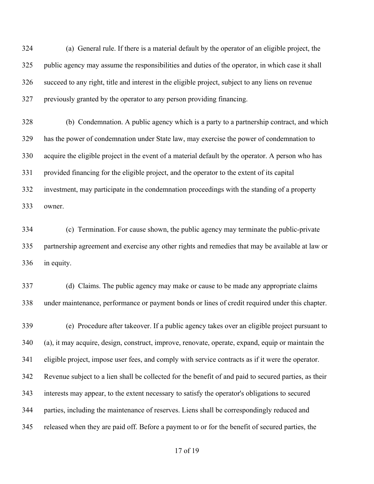(a) General rule. If there is a material default by the operator of an eligible project, the public agency may assume the responsibilities and duties of the operator, in which case it shall succeed to any right, title and interest in the eligible project, subject to any liens on revenue previously granted by the operator to any person providing financing.

 (b) Condemnation. A public agency which is a party to a partnership contract, and which has the power of condemnation under State law, may exercise the power of condemnation to acquire the eligible project in the event of a material default by the operator. A person who has provided financing for the eligible project, and the operator to the extent of its capital investment, may participate in the condemnation proceedings with the standing of a property owner.

 (c) Termination. For cause shown, the public agency may terminate the public-private partnership agreement and exercise any other rights and remedies that may be available at law or in equity.

 (d) Claims. The public agency may make or cause to be made any appropriate claims under maintenance, performance or payment bonds or lines of credit required under this chapter.

 (e) Procedure after takeover. If a public agency takes over an eligible project pursuant to (a), it may acquire, design, construct, improve, renovate, operate, expand, equip or maintain the eligible project, impose user fees, and comply with service contracts as if it were the operator. Revenue subject to a lien shall be collected for the benefit of and paid to secured parties, as their interests may appear, to the extent necessary to satisfy the operator's obligations to secured parties, including the maintenance of reserves. Liens shall be correspondingly reduced and released when they are paid off. Before a payment to or for the benefit of secured parties, the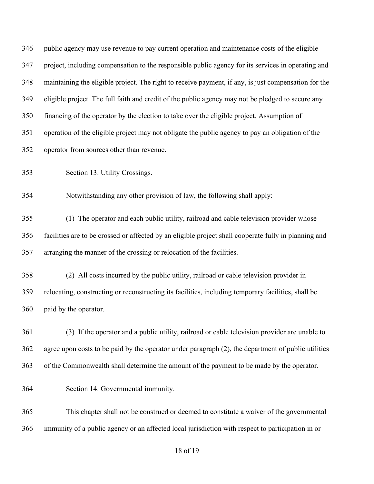| 346 | public agency may use revenue to pay current operation and maintenance costs of the eligible           |
|-----|--------------------------------------------------------------------------------------------------------|
| 347 | project, including compensation to the responsible public agency for its services in operating and     |
| 348 | maintaining the eligible project. The right to receive payment, if any, is just compensation for the   |
| 349 | eligible project. The full faith and credit of the public agency may not be pledged to secure any      |
| 350 | financing of the operator by the election to take over the eligible project. Assumption of             |
| 351 | operation of the eligible project may not obligate the public agency to pay an obligation of the       |
| 352 | operator from sources other than revenue.                                                              |
| 353 | Section 13. Utility Crossings.                                                                         |
| 354 | Notwithstanding any other provision of law, the following shall apply:                                 |
| 355 | (1) The operator and each public utility, railroad and cable television provider whose                 |
| 356 | facilities are to be crossed or affected by an eligible project shall cooperate fully in planning and  |
| 357 | arranging the manner of the crossing or relocation of the facilities.                                  |
| 358 | (2) All costs incurred by the public utility, railroad or cable television provider in                 |
| 359 | relocating, constructing or reconstructing its facilities, including temporary facilities, shall be    |
| 360 | paid by the operator.                                                                                  |
| 361 | (3) If the operator and a public utility, railroad or cable television provider are unable to          |
| 362 | agree upon costs to be paid by the operator under paragraph $(2)$ , the department of public utilities |
| 363 | of the Commonwealth shall determine the amount of the payment to be made by the operator.              |
| 364 | Section 14. Governmental immunity.                                                                     |
| 365 | This chapter shall not be construed or deemed to constitute a waiver of the governmental               |
| 366 | immunity of a public agency or an affected local jurisdiction with respect to participation in or      |